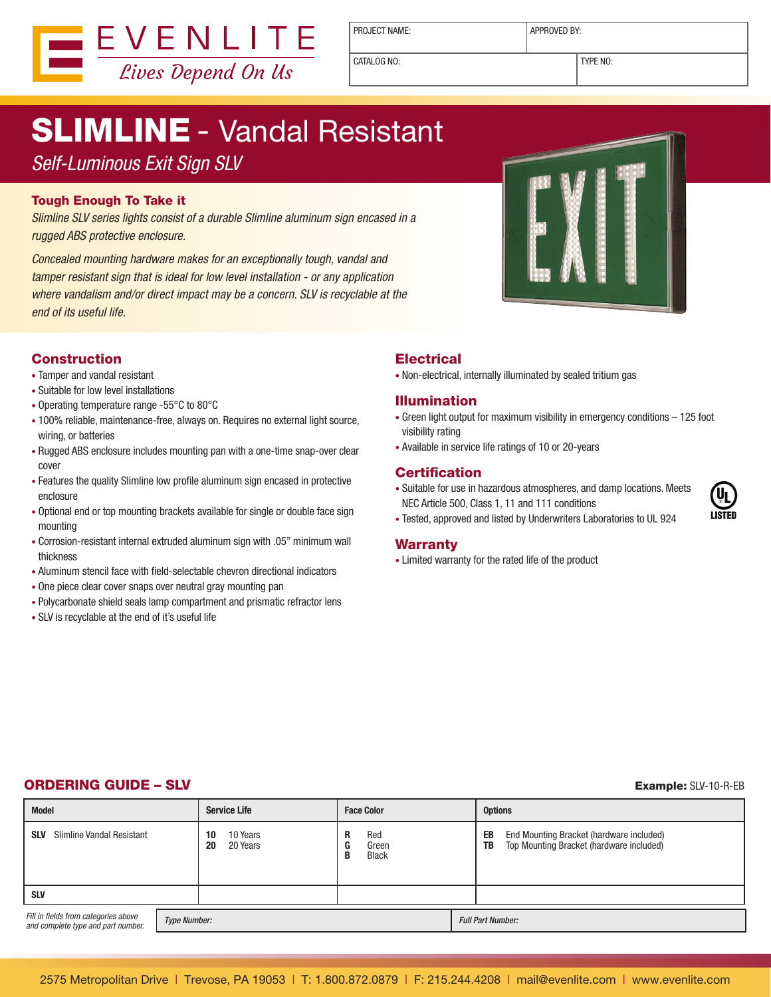

PROJECT NAME:  $\vert$  APPROVED BY:

CATALOG NO: TYPE NO:

# SLIMLINE - Vandal Resistant

## *Self-Luminous Exit Sign SLV*

#### Tough Enough To Take it

*Slimline SLV series lights consist of a durable Slimline aluminum sign encased in a rugged ABS protective enclosure.*

*Concealed mounting hardware makes for an exceptionally tough, vandal and tamper resistant sign that is ideal for low level installation - or any application where vandalism and/or direct impact may be a concern. SLV is recyclable at the end of its useful life.*

### Construction

- Tamper and vandal resistant
- Suitable for low level installations
- Operating temperature range -55°C to 80°C
- 100% reliable, maintenance-free, always on. Requires no external light source, wiring, or batteries
- Rugged ABS enclosure includes mounting pan with a one-time snap-over clear cover
- Features the quality Slimline low profile aluminum sign encased in protective enclosure
- Optional end or top mounting brackets available for single or double face sign mounting
- Corrosion-resistant internal extruded aluminum sign with .05" minimum wall thickness
- Aluminum stencil face with field-selectable chevron directional indicators
- One piece clear cover snaps over neutral gray mounting pan
- Polycarbonate shield seals lamp compartment and prismatic refractor lens
- SLV is recyclable at the end of it's useful life

### **Electrical**

• Non-electrical, internally illuminated by sealed tritium gas

#### Illumination

- Green light output for maximum visibility in emergency conditions 125 foot visibility rating
- Available in service life ratings of 10 or 20-years

### **Certification**

• Suitable for use in hazardous atmospheres, and damp locations. Meets NEC Article 500, Class 1, 11 and 111 conditions



• Tested, approved and listed by Underwriters Laboratories to UL 924

#### Warranty

• Limited warranty for the rated life of the product

### **ORDERING GUIDE – SLV** Example: SLV-10-R-EB

| <b>Model</b>                                                                                      |  | <b>Service Life</b>              | <b>Face Color</b>                                | <b>Options</b>                                                                                   |
|---------------------------------------------------------------------------------------------------|--|----------------------------------|--------------------------------------------------|--------------------------------------------------------------------------------------------------|
| <b>SLV</b><br>Slimline Vandal Resistant                                                           |  | 10 Years<br>10<br>20 Years<br>20 | Red<br>R<br>Green<br>c<br>u<br><b>Black</b><br>B | End Mounting Bracket (hardware included)<br>EB<br>Top Mounting Bracket (hardware included)<br>TB |
| <b>SLV</b>                                                                                        |  |                                  |                                                  |                                                                                                  |
| Fill in fields from categories above<br><b>Type Number:</b><br>and complete type and part number. |  |                                  |                                                  | <b>Full Part Number:</b>                                                                         |